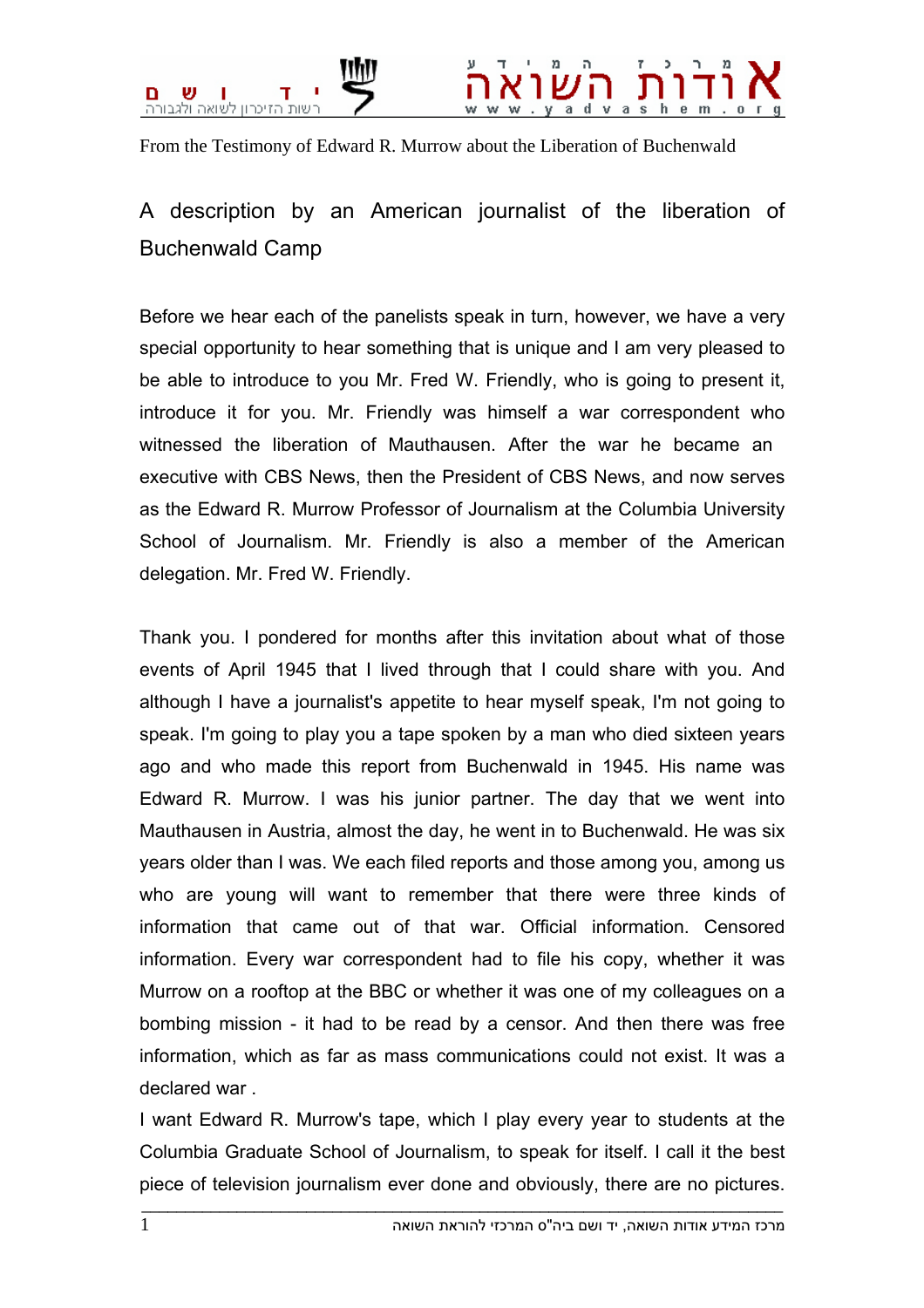



From the Testimony of Edward R. Murrow about the Liberation of Buchenwald

### A description by an American journalist of the liberation of Buchenwald Camp

Before we hear each of the panelists speak in turn, however, we have a very special opportunity to hear something that is unique and I am very pleased to be able to introduce to you Mr. Fred W. Friendly, who is going to present it, introduce it for you. Mr. Friendly was himself a war correspondent who witnessed the liberation of Mauthausen. After the war he became an executive with CBS News, then the President of CBS News, and now serves as the Edward R. Murrow Professor of Journalism at the Columbia University School of Journalism. Mr. Friendly is also a member of the American delegation. Mr. Fred W. Friendly.

Thank you. I pondered for months after this invitation about what of those events of April 1945 that I lived through that I could share with you. And although I have a journalist's appetite to hear myself speak, I'm not going to speak. I'm going to play you a tape spoken by a man who died sixteen years ago and who made this report from Buchenwald in 1945. His name was Edward R. Murrow. I was his junior partner. The day that we went into Mauthausen in Austria, almost the day, he went in to Buchenwald. He was six years older than I was. We each filed reports and those among you, among us who are young will want to remember that there were three kinds of information that came out of that war. Official information. Censored information. Every war correspondent had to file his copy, whether it was Murrow on a rooftop at the BBC or whether it was one of my colleagues on a bombing mission - it had to be read by a censor. And then there was free information, which as far as mass communications could not exist. It was a declared war .

I want Edward R. Murrow's tape, which I play every year to students at the Columbia Graduate School of Journalism, to speak for itself. I call it the best piece of television journalism ever done and obviously, there are no pictures.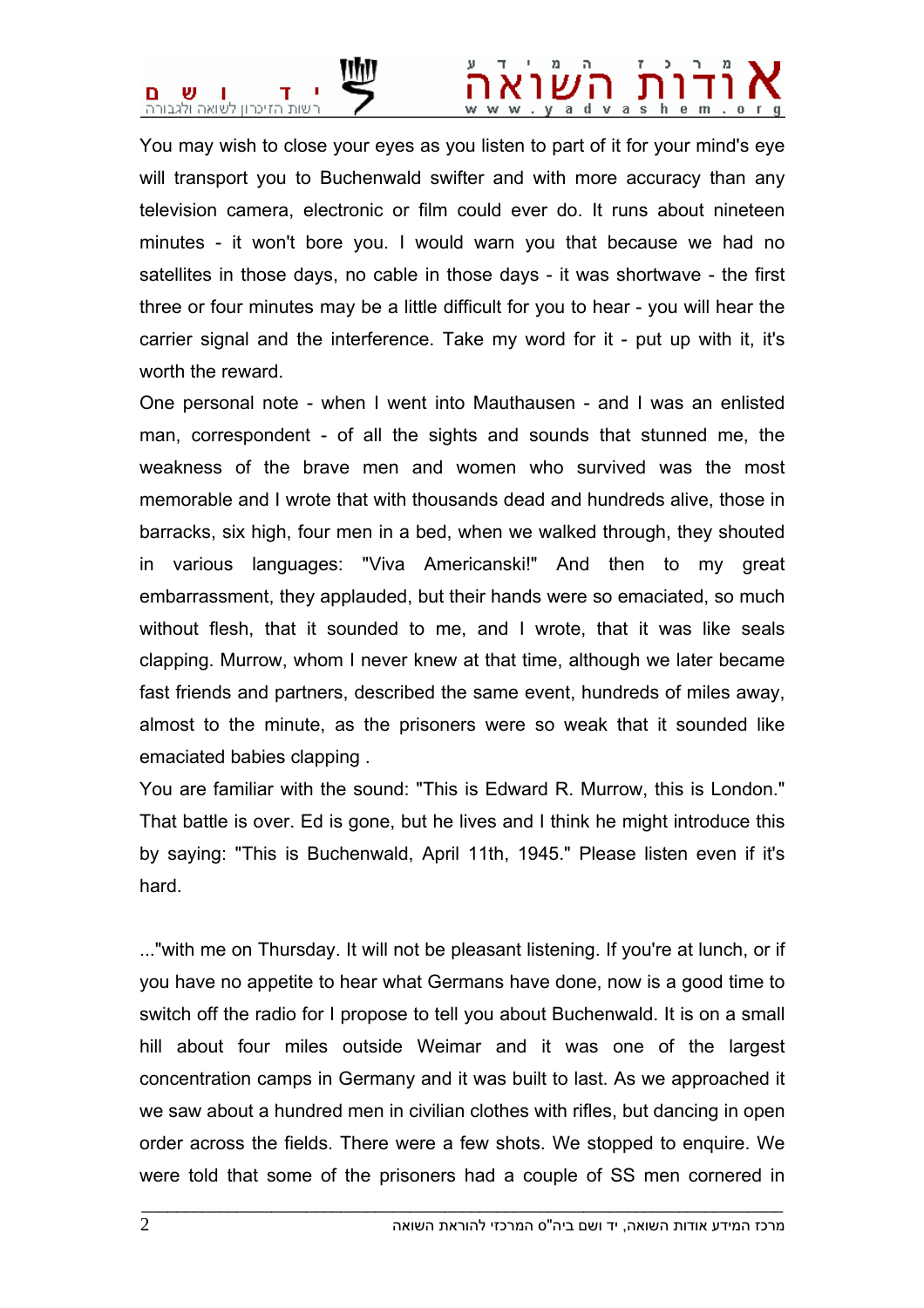# $v a s$

You may wish to close your eyes as you listen to part of it for your mind's eye will transport you to Buchenwald swifter and with more accuracy than any television camera, electronic or film could ever do. It runs about nineteen minutes - it won't bore you. I would warn you that because we had no satellites in those days, no cable in those days - it was shortwave - the first three or four minutes may be a little difficult for you to hear - you will hear the carrier signal and the interference. Take my word for it - put up with it, it's worth the reward.

One personal note - when I went into Mauthausen - and I was an enlisted man, correspondent - of all the sights and sounds that stunned me, the weakness of the brave men and women who survived was the most memorable and I wrote that with thousands dead and hundreds alive, those in barracks, six high, four men in a bed, when we walked through, they shouted in various languages: "Viva Americanski!" And then to my great embarrassment, they applauded, but their hands wereso emaciated, so much without flesh, that it sounded to me, and I wrote, that it was like seals clapping. Murrow, whom I never knew at that time, although we later became fast friends and partners, described the same event, hundreds of miles away, almost to the minute, as the prisoners were so weak that it sounded like emaciated babies clapping .

You are familiar with the sound: "This is Edward R. Murrow, this is London." That battle is over. Ed is gone, but he lives and I think he might introduce this by saying: "This is Buchenwald, April 11th, 1945." Please listen even if it's hard.

..."with me on Thursday. It will not be pleasant listening. If you're at lunch, or if you have no appetite to hear what Germans have done, now is a good time to switch off the radio for I propose to tell you about Buchenwald. It is on a small hill about four miles outside Weimar and it was one of the largest concentration camps in Germany and it was built to last. As we approached it we saw about a hundred men in civilian clothes with rifles, but dancing in open order across the fields. There were a few shots. We stopped to enquire. We were told that some of the prisoners had a couple of SS men cornered in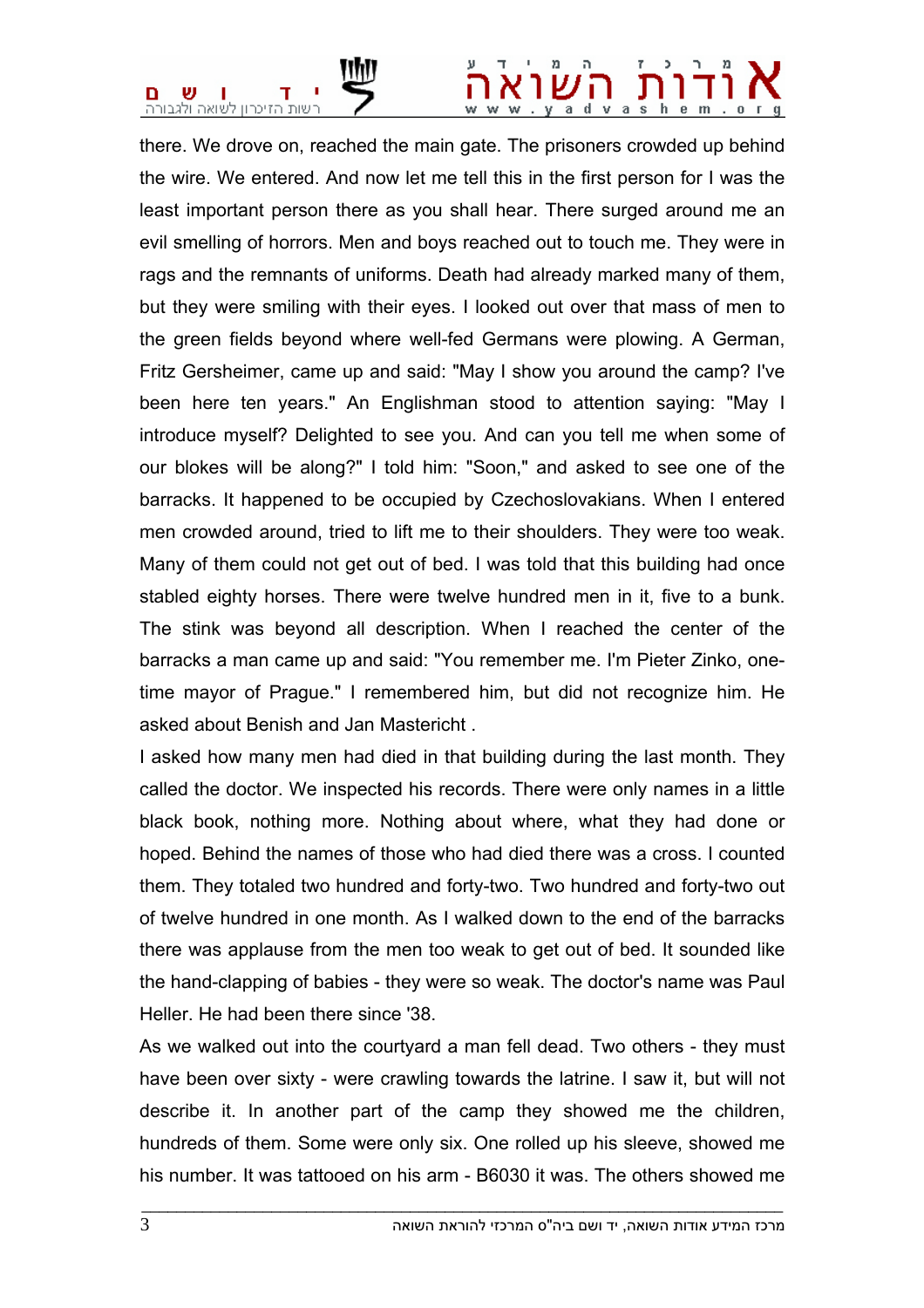

# d v a s  $e$  m  $o$  r  $a$

there. We drove on, reached the main gate. The prisoners crowded up behind the wire. We entered. And now let me tell this in the first person for I was the least important person there as you shall hear. There surged around me an evil smelling of horrors. Men and boys reached out to touch me. They were in rags and the remnants of uniforms. Death had already marked many of them, but they were smiling with their eyes. I looked out over that mass of men to the green fields beyond where well-fed Germans were plowing. A German, Fritz Gersheimer, came up and said: "May I show you around the camp? I've been here ten years." An Englishman stood to attention saying: "May I introduce myself? Delighted to see you. And can you tell me when some of our blokes will be along?" I told him: "Soon," and asked to see one of the barracks. It happened to be occupied by Czechoslovakians. When I entered men crowded around, tried to lift me to their shoulders. They were too weak. Many of them could not get out of bed. I was told that this building had once stabled eighty horses. There were twelve hundred men in it, five to a bunk. The stink was beyond all description. When I reached the center of the barracks a man came up and said: "You remember me. I'm Pieter Zinko, onetime mayor of Prague." I remembered him, but did not recognize him. He asked about Benish and Jan Mastericht .

I asked how many men had died in that building during the last month. They called the doctor. We inspected his records. There were only names in a little black book, nothing more. Nothing about where, what they had done or hoped. Behind the names of those who had died there was a cross. I counted them. They totaled two hundred and forty-two. Two hundred and forty-two out of twelve hundred in one month. As I walked down to the end of the barracks there was applause from the men too weak to get out of bed. It sounded like the hand-clapping of babies - they were so weak. The doctor's name was Paul Heller. He had been there since '38.

As we walked out into the courtyard a man fell dead. Two others - they must have been over sixty - were crawling towards the latrine. I saw it, but will not describe it. In another part of the camp they showed me the children, hundreds of them. Some were only six. One rolled up his sleeve, showed me his number. It was tattooed on his arm - B6030 it was. The others showed me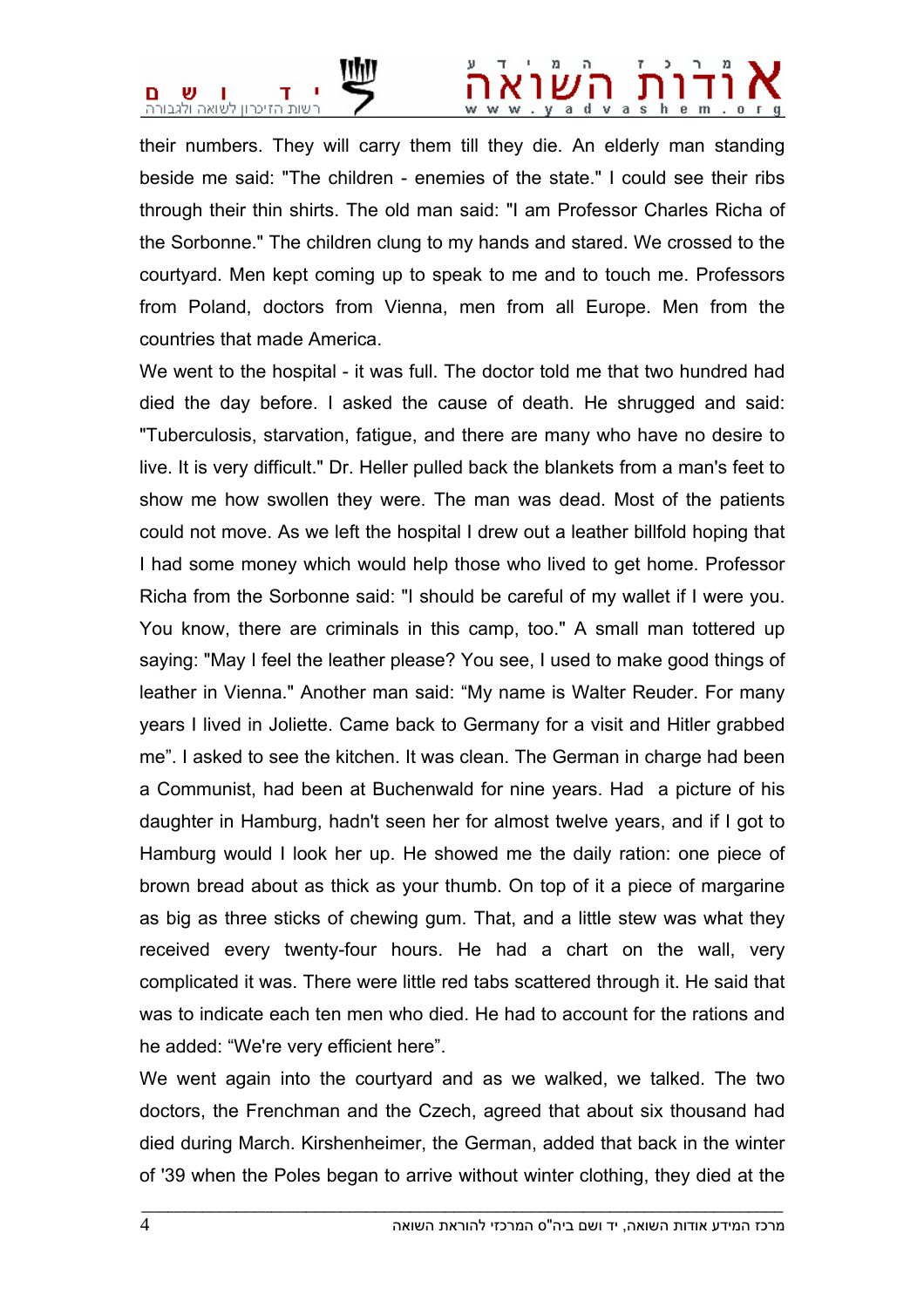

## dvas e m

their numbers. They will carry them till they die. An elderly man standing beside me said: "The children - enemies of the state." I could see their ribs through their thin shirts. The old man said: "I am Professor Charles Richa of the Sorbonne." The children clung to my hands and stared. We crossed to the courtyard. Men kept coming up to speak to me and to touch me. Professors from Poland, doctors from Vienna, men from all Europe. Men from the countries that made America.

We went to the hospital - it was full. The doctor told me that two hundred had died the day before. I asked the cause of death. He shrugged and said: "Tuberculosis, starvation, fatigue, and there are many who have no desire to live. It is very difficult." Dr. Heller pulled back the blankets from a man's feet to show me how swollen they were. The man was dead. Most of the patients could not move. As we left the hospital I drew out a leather billfold hoping that I had some money which would help those who lived to get home. Professor Richa from the Sorbonne said: "I should be careful of my wallet if I were you. You know, there are criminals in this camp, too." A small man tottered up saying: "May I feel the leather please? You see, I used to make good things of leather in Vienna." Another man said: "My name is Walter Reuder. For many years I lived in Joliette. Came back to Germany for a visit and Hitler grabbed me". I asked to see the kitchen. It was clean. The German in charge had been a Communist, had been at Buchenwald for nine years. Had a picture of his daughter in Hamburg, hadn't seen her for almost twelve years, and if I got to Hamburg would I look her up. He showed me the daily ration: one piece of brown bread about as thick as your thumb. On top of it a piece of margarine as big as three sticks of chewing gum. That, and a little stew was what they received every twenty-four hours. He had a chart on the wall, very complicated it was. There were little red tabs scattered through it. He said that was to indicate each ten men who died. He had to account for the rations and he added: "We're very efficient here".

We went again into the courtyard and as we walked, we talked. The two doctors, the Frenchman and the Czech, agreed that about six thousand had died during March. Kirshenheimer, the German, added that back in the winter of '39 when the Poles began to arrive without winter clothing, they died at the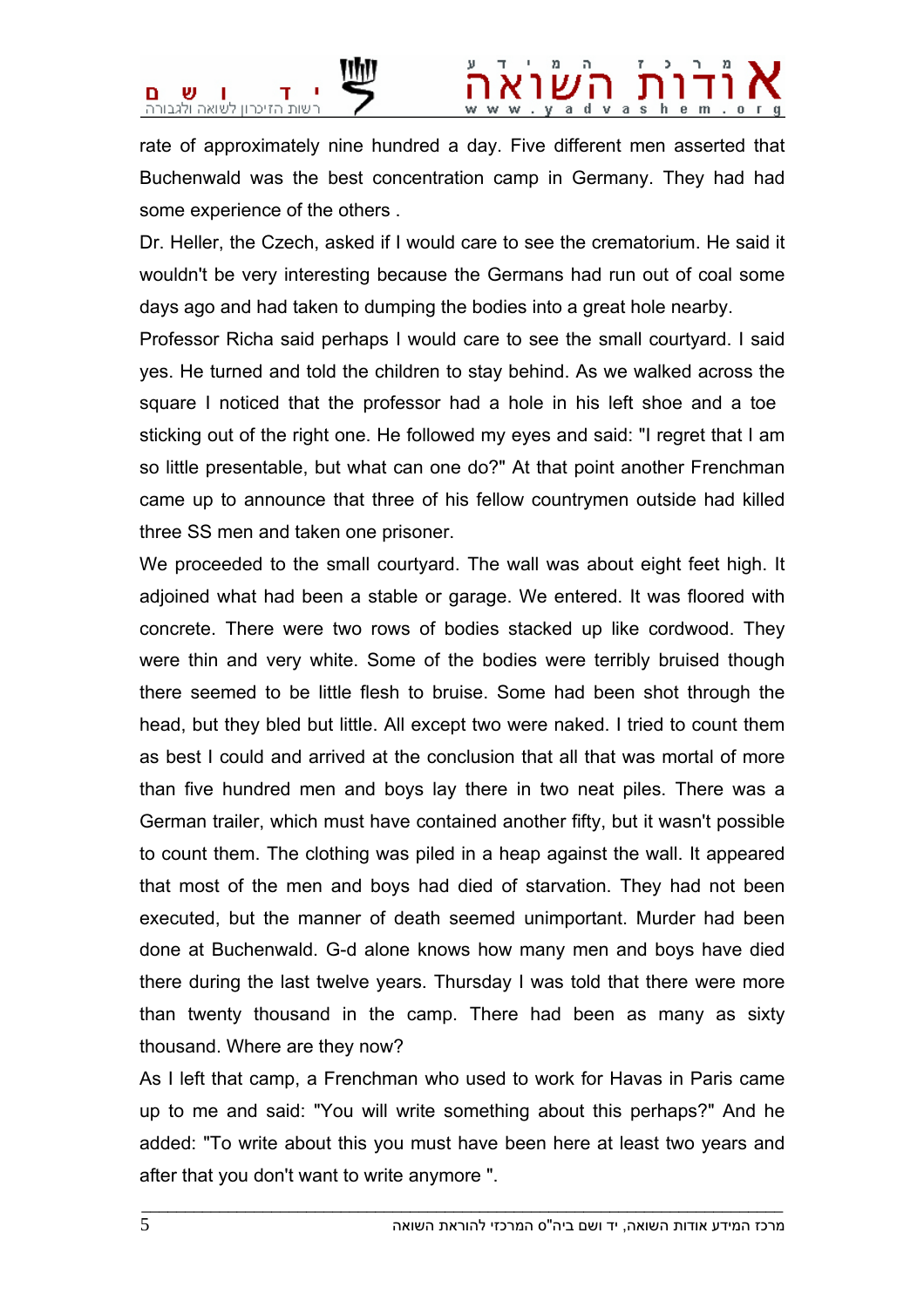



rate of approximately nine hundred a day. Five different men asserted that Buchenwald was the best concentration camp in Germany. They had had some experience of the others .

Dr. Heller, the Czech, asked if I would care to see the crematorium. He said it wouldn't be very interesting because the Germans had run out of coal some days ago and had taken to dumping the bodies into a great hole nearby.

Professor Richa said perhaps I would care to see the small courtyard. I said yes. He turned and told the children to stay behind. As we walked across the square I noticed that the professor had a hole in his left shoe and a toe sticking out of the right one. He followed my eyes and said: "I regret that I am so little presentable, but what can one do?" At that point another Frenchman came up to announce that three of his fellow countrymen outside had killed three SS men and taken one prisoner.

We proceeded to the small courtyard. The wall was about eight feet high. It adjoined what had been a stable or garage. We entered. It was floored with concrete. There were two rows of bodies stacked up like cordwood. They were thin and very white. Some of the bodies were terribly bruised though there seemed to be little flesh to bruise. Some had been shot through the head, but they bled but little. All except two were naked. I tried to count them as best I could and arrived at the conclusion that all that was mortal of more than five hundred men and boys lay there in two neat piles. There was a German trailer, which must have contained another fifty, but it wasn't possible to count them. The clothing was piled in a heap against the wall. It appeared that most of the men and boys had died of starvation. They had not been executed, but the manner of death seemed unimportant. Murder had been done at Buchenwald. G-d alone knows how many men and boys have died there during the last twelve years. Thursday I was told that there were more than twenty thousand in the camp. There had been as many as sixty thousand. Where are they now?

As I left that camp, a Frenchman who used to work for Havas in Paris came up to me and said: "You will write something about this perhaps?" And he added: "To write about this you must have been here at least two years and after that you don't want to write anymore ".